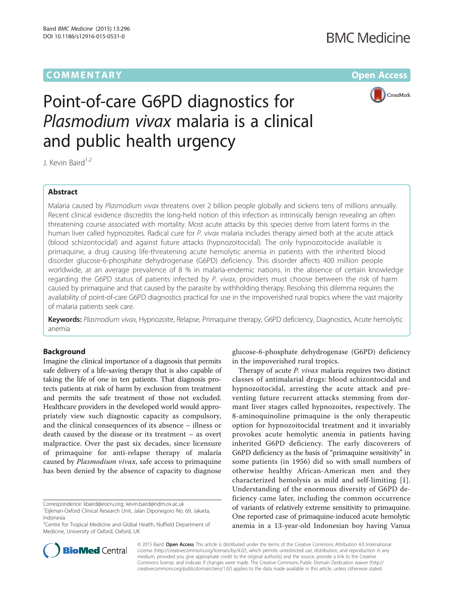# **COMMENTARY COMMENTARY COMMENTARY**



# Point-of-care G6PD diagnostics for Plasmodium vivax malaria is a clinical and public health urgency

J. Kevin Baird<sup>1,2</sup>

## Abstract

Malaria caused by Plasmodium vivax threatens over 2 billion people globally and sickens tens of millions annually. Recent clinical evidence discredits the long-held notion of this infection as intrinsically benign revealing an often threatening course associated with mortality. Most acute attacks by this species derive from latent forms in the human liver called hypnozoites. Radical cure for P. *vivax* malaria includes therapy aimed both at the acute attack (blood schizontocidal) and against future attacks (hypnozoitocidal). The only hypnozoitocide available is primaquine, a drug causing life-threatening acute hemolytic anemia in patients with the inherited blood disorder glucose-6-phosphate dehydrogenase (G6PD) deficiency. This disorder affects 400 million people worldwide, at an average prevalence of 8 % in malaria-endemic nations. In the absence of certain knowledge regarding the G6PD status of patients infected by P. vivax, providers must choose between the risk of harm caused by primaquine and that caused by the parasite by withholding therapy. Resolving this dilemma requires the availability of point-of-care G6PD diagnostics practical for use in the impoverished rural tropics where the vast majority of malaria patients seek care.

Keywords: Plasmodium vivax, Hypnozoite, Relapse, Primaquine therapy, G6PD deficiency, Diagnostics, Acute hemolytic anemia

## **Background**

Imagine the clinical importance of a diagnosis that permits safe delivery of a life-saving therapy that is also capable of taking the life of one in ten patients. That diagnosis protects patients at risk of harm by exclusion from treatment and permits the safe treatment of those not excluded. Healthcare providers in the developed world would appropriately view such diagnostic capacity as compulsory, and the clinical consequences of its absence – illness or death caused by the disease or its treatment – as overt malpractice. Over the past six decades, since licensure of primaquine for anti-relapse therapy of malaria caused by Plasmodium vivax, safe access to primaquine has been denied by the absence of capacity to diagnose

Correspondence: [kbaird@eocru.org;](mailto:kbaird@eocru.org) [kevin.baird@ndm.ox.ac.uk](mailto:kevin.baird@ndm.ox.ac.uk)



Therapy of acute *P. vivax* malaria requires two distinct classes of antimalarial drugs: blood schizontocidal and hypnozoitocidal, arresting the acute attack and preventing future recurrent attacks stemming from dormant liver stages called hypnozoites, respectively. The 8-aminoquinoline primaquine is the only therapeutic option for hypnozoitocidal treatment and it invariably provokes acute hemolytic anemia in patients having inherited G6PD deficiency. The early discoverers of G6PD deficiency as the basis of "primaquine sensitivity" in some patients (in 1956) did so with small numbers of otherwise healthy African-American men and they characterized hemolysis as mild and self-limiting [[1](#page-2-0)]. Understanding of the enormous diversity of G6PD deficiency came later, including the common occurrence of variants of relatively extreme sensitivity to primaquine. One reported case of primaquine-induced acute hemolytic anemia in a 13-year-old Indonesian boy having Vanua



© 2015 Baird. Open Access This article is distributed under the terms of the Creative Commons Attribution 4.0 International License ([http://creativecommons.org/licenses/by/4.0/\)](http://creativecommons.org/licenses/by/4.0/), which permits unrestricted use, distribution, and reproduction in any medium, provided you give appropriate credit to the original author(s) and the source, provide a link to the Creative Commons license, and indicate if changes were made. The Creative Commons Public Domain Dedication waiver ([http://](http://creativecommons.org/publicdomain/zero/1.0/) [creativecommons.org/publicdomain/zero/1.0/\)](http://creativecommons.org/publicdomain/zero/1.0/) applies to the data made available in this article, unless otherwise stated.

<sup>&</sup>lt;sup>1</sup> Eijkman-Oxford Clinical Research Unit, Jalan Diponegoro No. 69, Jakarta, Indonesia

<sup>&</sup>lt;sup>2</sup>Centre for Tropical Medicine and Global Health, Nuffield Department of Medicine, University of Oxford, Oxford, UK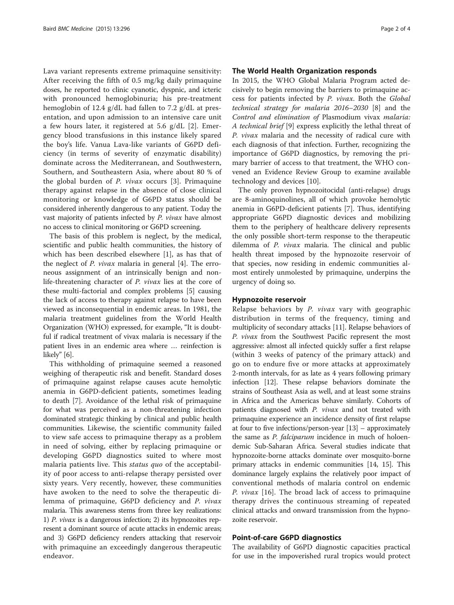Lava variant represents extreme primaquine sensitivity: After receiving the fifth of 0.5 mg/kg daily primaquine doses, he reported to clinic cyanotic, dyspnic, and icteric with pronounced hemoglobinuria; his pre-treatment hemoglobin of 12.4 g/dL had fallen to 7.2 g/dL at presentation, and upon admission to an intensive care unit a few hours later, it registered at 5.6 g/dL [[2\]](#page-2-0). Emergency blood transfusions in this instance likely spared the boy's life. Vanua Lava-like variants of G6PD deficiency (in terms of severity of enzymatic disability) dominate across the Mediterranean, and Southwestern, Southern, and Southeastern Asia, where about 80 % of the global burden of P. vivax occurs [[3](#page-2-0)]. Primaquine therapy against relapse in the absence of close clinical monitoring or knowledge of G6PD status should be considered inherently dangerous to any patient. Today the vast majority of patients infected by P. vivax have almost no access to clinical monitoring or G6PD screening.

The basis of this problem is neglect, by the medical, scientific and public health communities, the history of which has been described elsewhere [\[1](#page-2-0)], as has that of the neglect of P. vivax malaria in general [\[4](#page-2-0)]. The erroneous assignment of an intrinsically benign and nonlife-threatening character of P. vivax lies at the core of these multi-factorial and complex problems [[5\]](#page-3-0) causing the lack of access to therapy against relapse to have been viewed as inconsequential in endemic areas. In 1981, the malaria treatment guidelines from the World Health Organization (WHO) expressed, for example, "It is doubtful if radical treatment of vivax malaria is necessary if the patient lives in an endemic area where … reinfection is likely" [[6](#page-3-0)].

This withholding of primaquine seemed a reasoned weighing of therapeutic risk and benefit. Standard doses of primaquine against relapse causes acute hemolytic anemia in G6PD-deficient patients, sometimes leading to death [\[7](#page-3-0)]. Avoidance of the lethal risk of primaquine for what was perceived as a non-threatening infection dominated strategic thinking by clinical and public health communities. Likewise, the scientific community failed to view safe access to primaquine therapy as a problem in need of solving, either by replacing primaquine or developing G6PD diagnostics suited to where most malaria patients live. This *status quo* of the acceptability of poor access to anti-relapse therapy persisted over sixty years. Very recently, however, these communities have awoken to the need to solve the therapeutic dilemma of primaquine, G6PD deficiency and P. vivax malaria. This awareness stems from three key realizations: 1) P. vivax is a dangerous infection; 2) its hypnozoites represent a dominant source of acute attacks in endemic areas; and 3) G6PD deficiency renders attacking that reservoir with primaquine an exceedingly dangerous therapeutic endeavor.

## The World Health Organization responds

In 2015, the WHO Global Malaria Program acted decisively to begin removing the barriers to primaquine access for patients infected by P. vivax. Both the Global technical strategy for malaria 2016–2030 [[8\]](#page-3-0) and the Control and elimination of Plasmodium vivax malaria: A technical brief [\[9](#page-3-0)] express explicitly the lethal threat of P. vivax malaria and the necessity of radical cure with each diagnosis of that infection. Further, recognizing the importance of G6PD diagnostics, by removing the primary barrier of access to that treatment, the WHO convened an Evidence Review Group to examine available technology and devices [[10\]](#page-3-0).

The only proven hypnozoitocidal (anti-relapse) drugs are 8-aminoquinolines, all of which provoke hemolytic anemia in G6PD-deficient patients [[7\]](#page-3-0). Thus, identifying appropriate G6PD diagnostic devices and mobilizing them to the periphery of healthcare delivery represents the only possible short-term response to the therapeutic dilemma of P. vivax malaria. The clinical and public health threat imposed by the hypnozoite reservoir of that species, now residing in endemic communities almost entirely unmolested by primaquine, underpins the urgency of doing so.

## Hypnozoite reservoir

Relapse behaviors by P. vivax vary with geographic distribution in terms of the frequency, timing and multiplicity of secondary attacks [[11](#page-3-0)]. Relapse behaviors of P. vivax from the Southwest Pacific represent the most aggressive: almost all infected quickly suffer a first relapse (within 3 weeks of patency of the primary attack) and go on to endure five or more attacks at approximately 2-month intervals, for as late as 4 years following primary infection [[12](#page-3-0)]. These relapse behaviors dominate the strains of Southeast Asia as well, and at least some strains in Africa and the Americas behave similarly. Cohorts of patients diagnosed with P. vivax and not treated with primaquine experience an incidence density of first relapse at four to five infections/person-year [\[13](#page-3-0)] – approximately the same as *P. falciparum* incidence in much of holoendemic Sub-Saharan Africa. Several studies indicate that hypnozoite-borne attacks dominate over mosquito-borne primary attacks in endemic communities [[14](#page-3-0), [15\]](#page-3-0). This dominance largely explains the relatively poor impact of conventional methods of malaria control on endemic P. vivax [[16](#page-3-0)]. The broad lack of access to primaquine therapy drives the continuous streaming of repeated clinical attacks and onward transmission from the hypnozoite reservoir.

## Point-of-care G6PD diagnostics

The availability of G6PD diagnostic capacities practical for use in the impoverished rural tropics would protect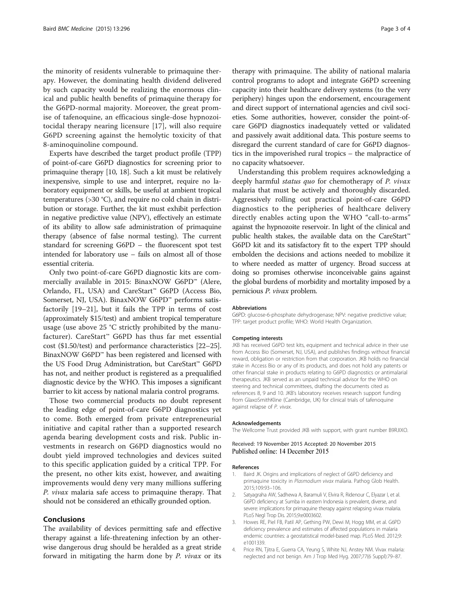<span id="page-2-0"></span>the minority of residents vulnerable to primaquine therapy. However, the dominating health dividend delivered by such capacity would be realizing the enormous clinical and public health benefits of primaquine therapy for the G6PD-normal majority. Moreover, the great promise of tafenoquine, an efficacious single-dose hypnozoitocidal therapy nearing licensure [[17\]](#page-3-0), will also require G6PD screening against the hemolytic toxicity of that 8-aminoquinoline compound.

Experts have described the target product profile (TPP) of point-of-care G6PD diagnostics for screening prior to primaquine therapy [\[10, 18\]](#page-3-0). Such a kit must be relatively inexpensive, simple to use and interpret, require no laboratory equipment or skills, be useful at ambient tropical temperatures (>30 °C), and require no cold chain in distribution or storage. Further, the kit must exhibit perfection in negative predictive value (NPV), effectively an estimate of its ability to allow safe administration of primaquine therapy (absence of false normal testing). The current standard for screening G6PD – the fluorescent spot test intended for laboratory use – fails on almost all of those essential criteria.

Only two point-of-care G6PD diagnostic kits are commercially available in 2015: BinaxNOW G6PD™ (Alere, Orlando, FL, USA) and CareStart™ G6PD (Access Bio, Somerset, NJ, USA). BinaxNOW G6PD™ performs satisfactorily [[19](#page-3-0)–[21](#page-3-0)], but it fails the TPP in terms of cost (approximately \$15/test) and ambient tropical temperature usage (use above 25 °C strictly prohibited by the manufacturer). CareStart™ G6PD has thus far met essential cost (\$1.50/test) and performance characteristics [\[22](#page-3-0)–[25](#page-3-0)]. BinaxNOW G6PD™ has been registered and licensed with the US Food Drug Administration, but CareStart™ G6PD has not, and neither product is registered as a prequalified diagnostic device by the WHO. This imposes a significant barrier to kit access by national malaria control programs.

Those two commercial products no doubt represent the leading edge of point-of-care G6PD diagnostics yet to come. Both emerged from private entrepreneurial initiative and capital rather than a supported research agenda bearing development costs and risk. Public investments in research on G6PD diagnostics would no doubt yield improved technologies and devices suited to this specific application guided by a critical TPP. For the present, no other kits exist, however, and awaiting improvements would deny very many millions suffering P. vivax malaria safe access to primaquine therapy. That should not be considered an ethically grounded option.

#### Conclusions

The availability of devices permitting safe and effective therapy against a life-threatening infection by an otherwise dangerous drug should be heralded as a great stride forward in mitigating the harm done by P. vivax or its therapy with primaquine. The ability of national malaria control programs to adopt and integrate G6PD screening capacity into their healthcare delivery systems (to the very periphery) hinges upon the endorsement, encouragement and direct support of international agencies and civil societies. Some authorities, however, consider the point-ofcare G6PD diagnostics inadequately vetted or validated and passively await additional data. This posture seems to disregard the current standard of care for G6PD diagnostics in the impoverished rural tropics – the malpractice of no capacity whatsoever.

Understanding this problem requires acknowledging a deeply harmful *status quo* for chemotherapy of P. vivax malaria that must be actively and thoroughly discarded. Aggressively rolling out practical point-of-care G6PD diagnostics to the peripheries of healthcare delivery directly enables acting upon the WHO "call-to-arms" against the hypnozoite reservoir. In light of the clinical and public health stakes, the available data on the CareStart™ G6PD kit and its satisfactory fit to the expert TPP should embolden the decisions and actions needed to mobilize it to where needed as matter of urgency. Broad success at doing so promises otherwise inconceivable gains against the global burdens of morbidity and mortality imposed by a pernicious P. vivax problem.

#### Abbreviations

G6PD: glucose-6-phosphate dehydrogenase; NPV: negative predictive value; TPP: target product profile; WHO: World Health Organization.

#### Competing interests

JKB has received G6PD test kits, equipment and technical advice in their use from Access Bio (Somerset, NJ, USA), and publishes findings without financial reward, obligation or restriction from that corporation. JKB holds no financial stake in Access Bio or any of its products, and does not hold any patents or other financial stake in products relating to G6PD diagnostics or antimalarial therapeutics. JKB served as an unpaid technical advisor for the WHO on steering and technical committees, drafting the documents cited as references 8, 9 and 10. JKB's laboratory receives research support funding from GlaxoSmithKline (Cambridge, UK) for clinical trials of tafenoquine against relapse of P. vivax.

#### Acknowledgements

The Wellcome Trust provided JKB with support, with grant number B9RJIXO.

Received: 19 November 2015 Accepted: 20 November 2015 Published online: 14 December 2015

#### References

- Baird JK. Origins and implications of neglect of G6PD deficiency and primaquine toxicity in Plasmodium vivax malaria. Pathog Glob Health. 2015;109:93–106.
- 2. Satyagraha AW, Sadhewa A, Baramuli V, Elvira R, Ridenour C, Elyazar I, et al. G6PD deficiency at Sumba in eastern Indonesia is prevalent, diverse, and severe: implications for primaquine therapy against relapsing vivax malaria. PLoS Negl Trop Dis. 2015;9:e0003602.
- 3. Howes RE, Piel FB, Patil AP, Gething PW, Dewi M, Hogg MM, et al. G6PD deficiency prevalence and estimates of affected populations in malaria endemic countries: a geostatistical model-based map. PLoS Med. 2012;9: e1001339.
- 4. Price RN, Tjitra E, Guerra CA, Yeung S, White NJ, Anstey NM. Vivax malaria: neglected and not benign. Am J Trop Med Hyg. 2007;77(6 Suppl):79–87.